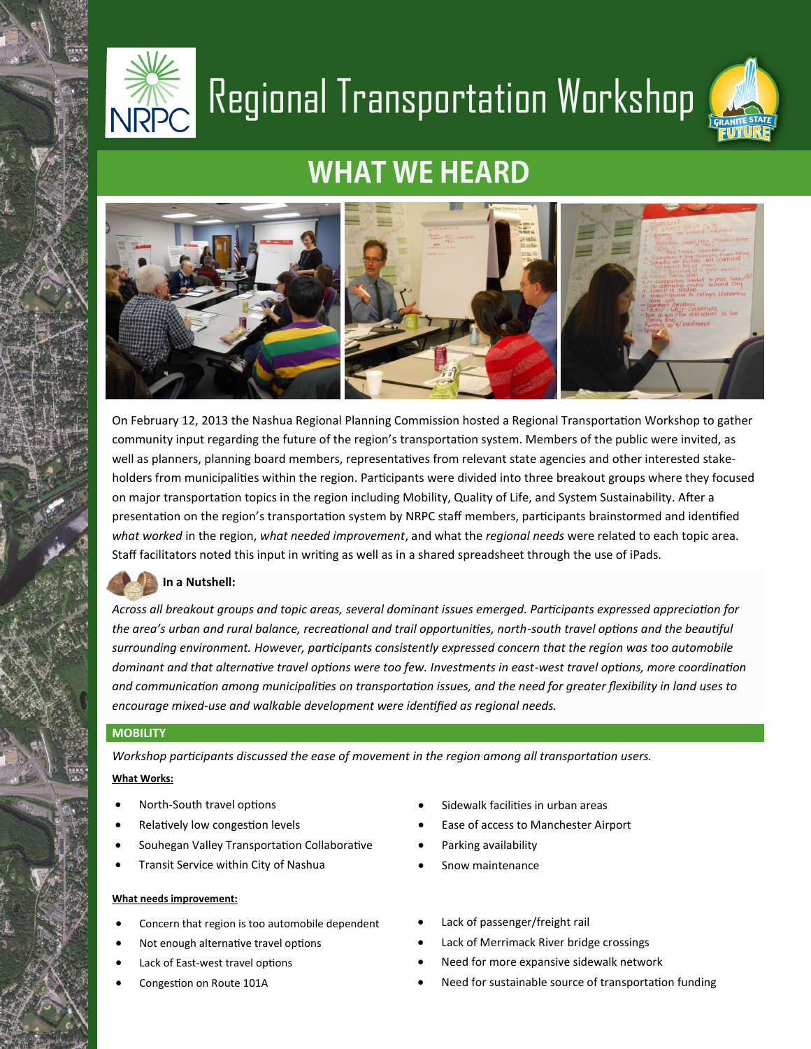

# Regional Transportation Workshop



### **WHAT WE HEARD**



On February 12, 2013 the Nashua Regional Planning Commission hosted a Regional Transportation Workshop to gather community input regarding the future of the region's transportation system. Members of the public were invited, as well as planners, planning board members, representatives from relevant state agencies and other interested stakeholders from municipalities within the region. Participants were divided into three breakout groups where they focused on major transportation topics in the region including Mobility, Quality of Life, and System Sustainability. After a presentation on the region's transportation system by NRPC staff members, participants brainstormed and identified *what worked* in the region, *what needed improvement*, and what the *regional needs* were related to each topic area. Staff facilitators noted this input in writing as well as in a shared spreadsheet through the use of iPads.

#### **In a Nutshell:**

*Across all breakout groups and topic areas, several dominant issues emerged. Participants expressed appreciation for the area's urban and rural balance, recreational and trail opportunities, north-south travel options and the beautiful surrounding environment. However, participants consistently expressed concern that the region was too automobile dominant and that alternative travel options were too few. Investments in east-west travel options, more coordination and communication among municipalities on transportation issues, and the need for greater flexibility in land uses to encourage mixed-use and walkable development were identified as regional needs.* 

#### **MOBILITY**

*Workshop participants discussed the ease of movement in the region among all transportation users.* **What Works:**

- North-South travel options
- Relatively low congestion levels
- Souhegan Valley Transportation Collaborative
- Transit Service within City of Nashua

#### **What needs improvement:**

- Concern that region is too automobile dependent
- Not enough alternative travel options
- Lack of East-west travel options
- Congestion on Route 101A
- Sidewalk facilities in urban areas
- Ease of access to Manchester Airport
- Parking availability
- Snow maintenance
- Lack of passenger/freight rail
- Lack of Merrimack River bridge crossings
- Need for more expansive sidewalk network
- Need for sustainable source of transportation funding